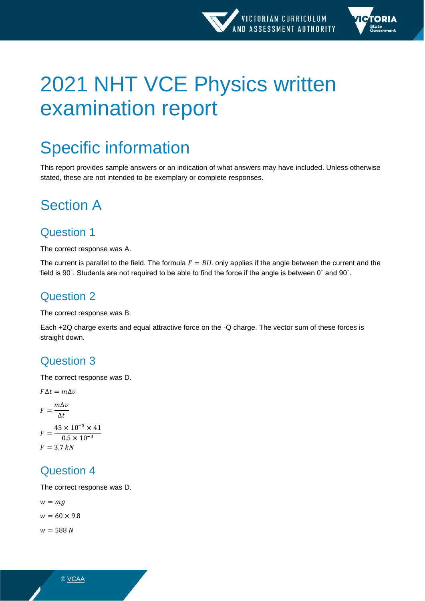

# 2021 NHT VCE Physics written examination report

# Specific information

This report provides sample answers or an indication of what answers may have included. Unless otherwise stated, these are not intended to be exemplary or complete responses.

## Section A

### Question 1

The correct response was A.

The current is parallel to the field. The formula  $F = BIL$  only applies if the angle between the current and the field is 90˚. Students are not required to be able to find the force if the angle is between 0˚ and 90˚.

### Question 2

The correct response was B.

Each +2Q charge exerts and equal attractive force on the -Q charge. The vector sum of these forces is straight down.

### Question 3

The correct response was D.

 $F\Delta t = m\Delta v$  $F = \frac{m\Delta v}{\Delta t}$  $\Delta t$  $F = \frac{45 \times 10^{-3} \times 41}{9.5 \times 10^{-3}}$  $0.5 \times 10^{-3}$  $F = 3.7 kN$ 

### Question 4

The correct response was D.

 $w = mg$  $w = 60 \times 9.8$  $w = 588 N$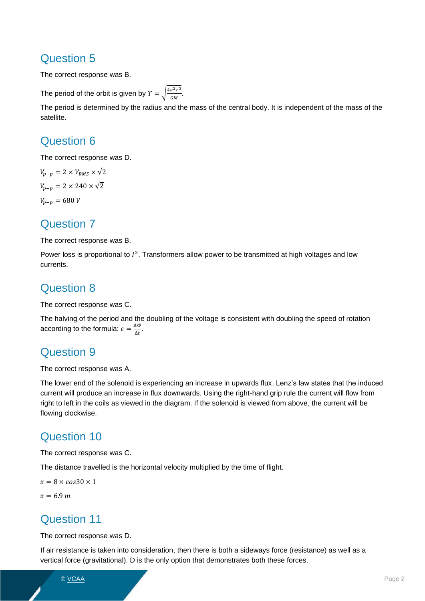The correct response was B.

The period of the orbit is given by  $T = \sqrt{\frac{4\pi^2 r^3}{GM}}$  $\frac{n}{GM}$ .

The period is determined by the radius and the mass of the central body. It is independent of the mass of the satellite.

### Question 6

The correct response was D.

 $V_{n-n} = 2 \times V_{RMS} \times \sqrt{2}$  $V_{n-n} = 2 \times 240 \times \sqrt{2}$  $V_{p-p} = 680 V$ 

#### Question 7

The correct response was B.

Power loss is proportional to  $I^2$ . Transformers allow power to be transmitted at high voltages and low currents.

### Question 8

The correct response was C.

The halving of the period and the doubling of the voltage is consistent with doubling the speed of rotation according to the formula:  $\varepsilon = \frac{\Delta \Phi}{\Delta t}$  $\frac{\Delta \Psi}{\Delta t}$ .

### Question 9

The correct response was A.

The lower end of the solenoid is experiencing an increase in upwards flux. Lenz's law states that the induced current will produce an increase in flux downwards. Using the right-hand grip rule the current will flow from right to left in the coils as viewed in the diagram. If the solenoid is viewed from above, the current will be flowing clockwise.

### Question 10

The correct response was C.

The distance travelled is the horizontal velocity multiplied by the time of flight.

 $x = 8 \times cos30 \times 1$ 

 $x = 6.9 m$ 

### Question 11

The correct response was D.

If air resistance is taken into consideration, then there is both a sideways force (resistance) as well as a vertical force (gravitational). D is the only option that demonstrates both these forces.

© <mark>VCAA</mark> Page 2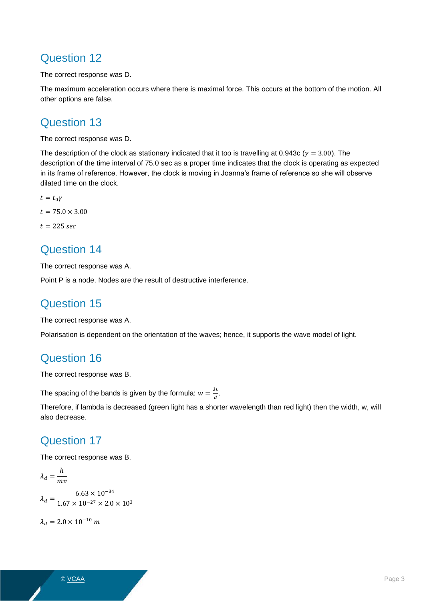The correct response was D.

The maximum acceleration occurs where there is maximal force. This occurs at the bottom of the motion. All other options are false.

### Question 13

The correct response was D.

The description of the clock as stationary indicated that it too is travelling at 0.943c ( $\gamma = 3.00$ ). The description of the time interval of 75.0 sec as a proper time indicates that the clock is operating as expected in its frame of reference. However, the clock is moving in Joanna's frame of reference so she will observe dilated time on the clock.

 $t = t_0 \gamma$  $t = 75.0 \times 3.00$  $t = 225$  sec

### Question 14

The correct response was A.

Point P is a node. Nodes are the result of destructive interference.

### Question 15

The correct response was A.

Polarisation is dependent on the orientation of the waves; hence, it supports the wave model of light.

### Question 16

The correct response was B.

The spacing of the bands is given by the formula:  $w = \frac{\lambda L}{d}$  $\frac{d}{d}$ .

Therefore, if lambda is decreased (green light has a shorter wavelength than red light) then the width, w, will also decrease.

### Question 17

The correct response was B.

$$
\lambda_d = \frac{h}{mv}
$$
  

$$
\lambda_d = \frac{6.63 \times 10^{-34}}{1.67 \times 10^{-27} \times 2.0 \times 10^3}
$$

 $\lambda_d = 2.0 \times 10^{-10} m$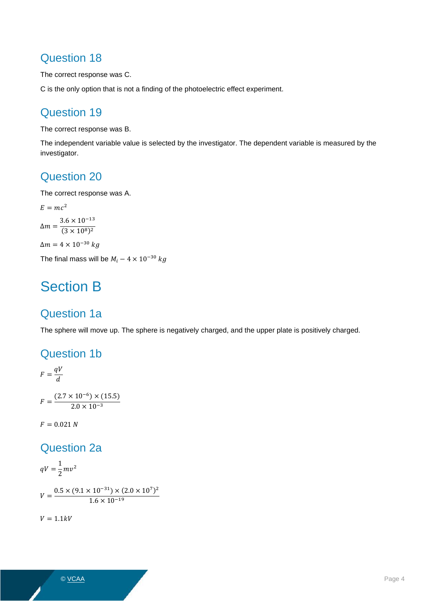The correct response was C.

C is the only option that is not a finding of the photoelectric effect experiment.

### Question 19

The correct response was B.

The independent variable value is selected by the investigator. The dependent variable is measured by the investigator.

### Question 20

The correct response was A.

 $E = mc^2$  $\Delta m = \frac{3.6 \times 10^{-13}}{(2 \times 10^{8})^2}$  $(3 \times 10^8)^2$  $\Delta m = 4 \times 10^{-30} kg$ The final mass will be  $M_i - 4 \times 10^{-30}$  kg

## Section B

### Question 1a

The sphere will move up. The sphere is negatively charged, and the upper plate is positively charged.

#### Question 1b

$$
F = \frac{qV}{d}
$$
  

$$
F = \frac{(2.7 \times 10^{-6}) \times (15.5)}{2.0 \times 10^{-3}}
$$

 $F = 0.021 N$ 

### Question 2a

 $qV=\frac{1}{2}$  $\frac{1}{2}mv^2$ 

$$
V = \frac{0.5 \times (9.1 \times 10^{-31}) \times (2.0 \times 10^7)^2}{1.6 \times 10^{-19}}
$$

 $V = 1.1kV$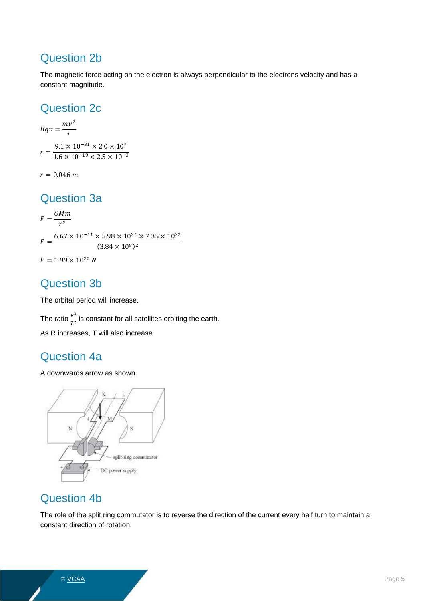### Question 2b

The magnetic force acting on the electron is always perpendicular to the electrons velocity and has a constant magnitude.

### Question 2c

 $Bqv = \frac{mv^2}{r^2}$  $\boldsymbol{r}$  $r = \frac{9.1 \times 10^{-31} \times 2.0 \times 10^7}{1.6 \times 10^{-19} \times 2.5 \times 10^{-7}}$  $1.6 \times 10^{-19} \times 2.5 \times 10^{-3}$ 

 $r = 0.046 m$ 

#### Question 3a

 $F = \frac{GMm}{m^2}$  $r^2$  $F = \frac{6.67 \times 10^{-11} \times 5.98 \times 10^{24} \times 7.35 \times 10^{22}}{(2.94 \times 10^{8})^2}$  $(3.84 \times 10^8)^2$  $F = 1.99 \times 10^{20} N$ 

### Question 3b

The orbital period will increase.

The ratio  $\frac{R^3}{T^2}$  $\frac{\pi}{T^2}$  is constant for all satellites orbiting the earth. As R increases, T will also increase.

### Question 4a

A downwards arrow as shown.



### Question 4b

The role of the split ring commutator is to reverse the direction of the current every half turn to maintain a constant direction of rotation.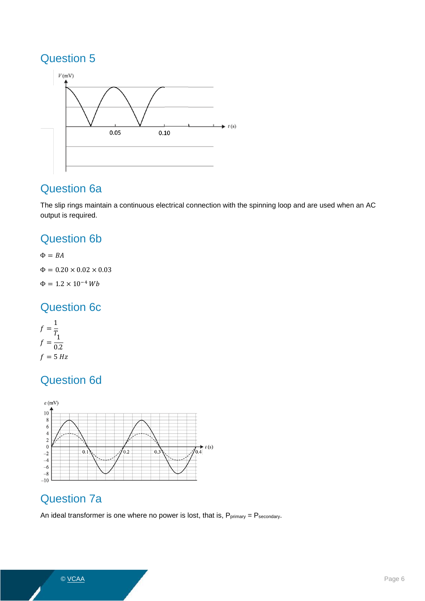

### Question 6a

The slip rings maintain a continuous electrical connection with the spinning loop and are used when an AC output is required.

### Question 6b

 $\Phi = BA$  $Φ = 0.20 × 0.02 × 0.03$  $\Phi = 1.2 \times 10^{-4} \, Wb$ 

### Question 6c

$$
f = \frac{1}{T_1}
$$

$$
f = \frac{1}{0.2}
$$

$$
f = 5 Hz
$$

### Question 6d



### Question 7a

An ideal transformer is one where no power is lost, that is,  $P_{primary} = P_{secondary}$ .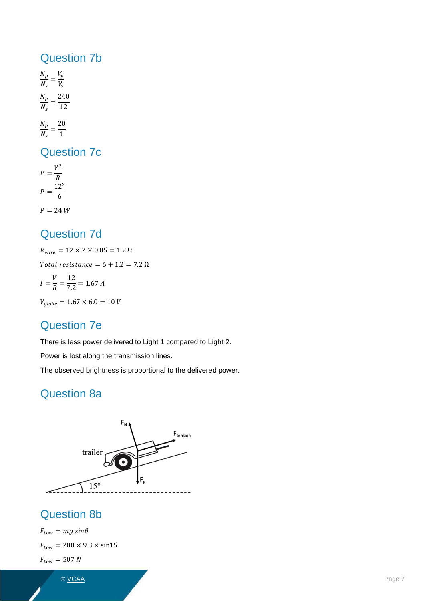#### Question 7b

 $N_p$  $\frac{N_p}{N_s} = \frac{V_p}{V_s}$ V<sub>s</sub>  $N_p$  $\frac{N_p}{N_s} = \frac{240}{12}$ 12  $N_p$  $\frac{N_p}{N_s} = \frac{20}{1}$ 1

Question 7c

 $P = \frac{V^2}{R}$  $\boldsymbol{R}$  $P = \frac{12^2}{6}$ 6  $P = 24 W$ 

### Question 7d

 $R_{wire} = 12 \times 2 \times 0.05 = 1.2 \; \Omega$ 

Total resistance =  $6 + 1.2 = 7.2 \Omega$ 

$$
I = \frac{V}{R} = \frac{12}{7.2} = 1.67 A
$$

 $V_{globe} = 1.67 \times 6.0 = 10 V$ 

### Question 7e

There is less power delivered to Light 1 compared to Light 2.

Power is lost along the transmission lines.

The observed brightness is proportional to the delivered power.

### Question 8a



### Question 8b

 $F_{tow} = mg \sin\theta$  $F_{tow} = 200 \times 9.8 \times \sin 15$  $F_{tow} = 507 N$ 

© <u>VCAA</u> Page 7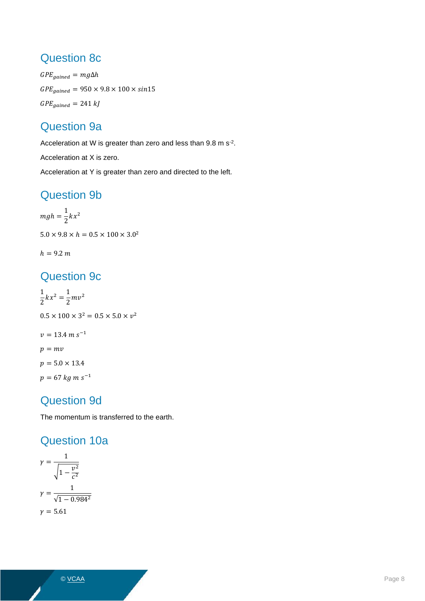### Question 8c

 $GPE_{gained} = mg\Delta h$  $GPE_{gained} = 950 \times 9.8 \times 100 \times sin15$  $GPE_{gained} = 241 kJ$ 

### Question 9a

Acceleration at W is greater than zero and less than 9.8 m s<sup>-2</sup>.

Acceleration at X is zero.

Acceleration at Y is greater than zero and directed to the left.

### Question 9b

$$
mgh = \frac{1}{2}kx^2
$$
  
5.0 × 9.8 × h = 0.5 × 100 × 3.0<sup>2</sup>

$$
h=9.2\;m
$$

### Question 9c

1  $\frac{1}{2}kx^2 = \frac{1}{2}$  $\frac{1}{2}mv^2$  $0.5 \times 100 \times 3^2 = 0.5 \times 5.0 \times v^2$  $v = 13.4 \ m \ s^{-1}$  $p=mv$  $p = 5.0 \times 13.4$  $p = 67$   $kg$  m s $^{-1}$ 

### Question 9d

The momentum is transferred to the earth.

### Question 10a

$$
\gamma = \frac{1}{\sqrt{1 - \frac{v^2}{c^2}}}
$$
\n
$$
\gamma = \frac{1}{\sqrt{1 - 0.984^2}}
$$
\n
$$
\gamma = 5.61
$$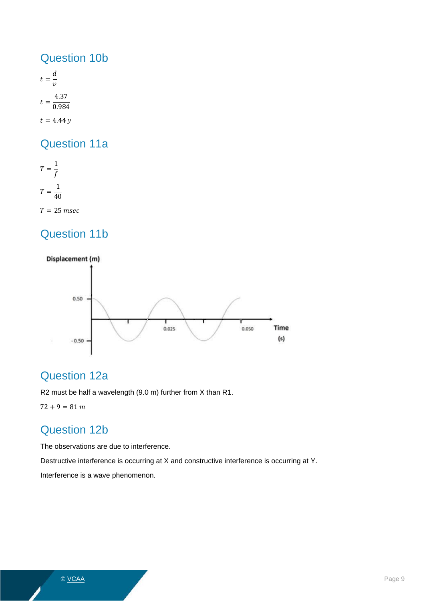#### Question 10b

 $t=\frac{d}{t}$  $\mathcal{V}$  $t = \frac{4.37}{0.00}$ 0.984  $t = 4.44 y$ 

### Question 11a

 $T=\frac{1}{f}$ f  $T=\frac{1}{40}$ 40  $T = 25$  msec

### Question 11b



### Question 12a

R2 must be half a wavelength (9.0 m) further from X than R1.

 $72 + 9 = 81$  m

### Question 12b

The observations are due to interference.

Destructive interference is occurring at X and constructive interference is occurring at Y.

Interference is a wave phenomenon.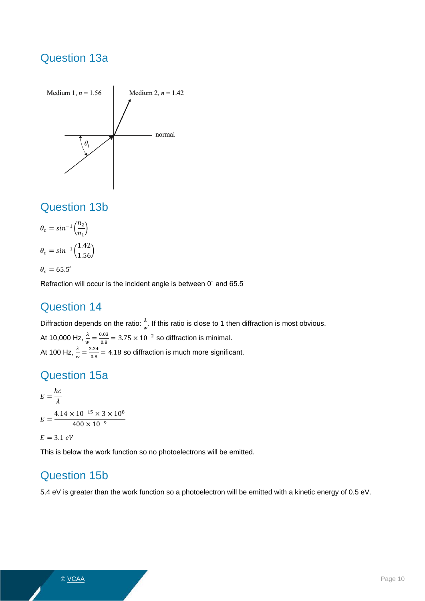### Question 13a



### Question 13b

$$
\theta_c = \sin^{-1}\left(\frac{n_2}{n_1}\right)
$$

$$
\theta_c = \sin^{-1}\left(\frac{1.42}{1.56}\right)
$$

 $\theta_c = 65.5^\circ$ 

Refraction will occur is the incident angle is between 0˚ and 65.5˚

### Question 14

Diffraction depends on the ratio:  $\frac{\lambda}{w}$ . If this ratio is close to 1 then diffraction is most obvious. At 10,000 Hz,  $\frac{\lambda}{w} = \frac{0.03}{0.8}$  $\frac{0.03}{0.8}$  = 3.75 × 10<sup>-2</sup> so diffraction is minimal. At 100 Hz,  $\frac{\lambda}{w} = \frac{3.34}{0.8}$  $\frac{0.54}{0.8}$  = 4.18 so diffraction is much more significant.

### Question 15a

$$
E = \frac{hc}{\lambda}
$$
  

$$
E = \frac{4.14 \times 10^{-15} \times 3 \times 10^8}{400 \times 10^{-9}}
$$

 $E = 3.1 eV$ 

This is below the work function so no photoelectrons will be emitted.

### Question 15b

5.4 eV is greater than the work function so a photoelectron will be emitted with a kinetic energy of 0.5 eV.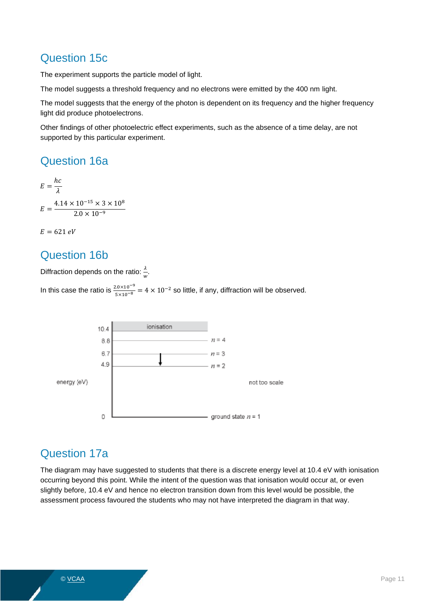### Question 15c

The experiment supports the particle model of light.

The model suggests a threshold frequency and no electrons were emitted by the 400 nm light.

The model suggests that the energy of the photon is dependent on its frequency and the higher frequency light did produce photoelectrons.

Other findings of other photoelectric effect experiments, such as the absence of a time delay, are not supported by this particular experiment.

#### Question 16a

$$
E = \frac{hc}{\lambda}
$$
  

$$
E = \frac{4.14 \times 10^{-15} \times 3 \times 10^8}{2.0 \times 10^{-9}}
$$

 $E = 621 eV$ 

#### Question 16b

Diffraction depends on the ratio:  $\frac{\lambda}{w}$ .

In this case the ratio is  $\frac{2.0 \times 10^{-9}}{5 \times 10^{-8}}$  = 4 × 10<sup>-2</sup> so little, if any, diffraction will be observed.



### Question 17a

The diagram may have suggested to students that there is a discrete energy level at 10.4 eV with ionisation occurring beyond this point. While the intent of the question was that ionisation would occur at, or even slightly before, 10.4 eV and hence no electron transition down from this level would be possible, the assessment process favoured the students who may not have interpreted the diagram in that way.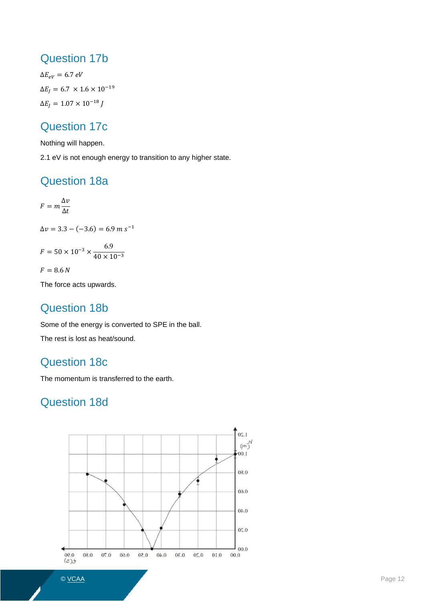#### Question 17b

 $\Delta E_{eV} = 6.7 eV$  $\Delta E_J = 6.7 \times 1.6 \times 10^{-19}$  $\Delta E_I = 1.07 \times 10^{-18} J$ 

### Question 17c

Nothing will happen.

2.1 eV is not enough energy to transition to any higher state.

### Question 18a

 $F = m \frac{\Delta v}{\Delta t}$  $\Delta t$  $\Delta v = 3.3 - (-3.6) = 6.9 \, m \, s^{-1}$  $F = 50 \times 10^{-3} \times \frac{6.9}{40 \times 10^{-3}}$  $40 \times 10^{-3}$  $F = 8.6 N$ 

The force acts upwards.

### Question 18b

Some of the energy is converted to SPE in the ball.

The rest is lost as heat/sound.

### Question 18c

The momentum is transferred to the earth.

### Question 18d